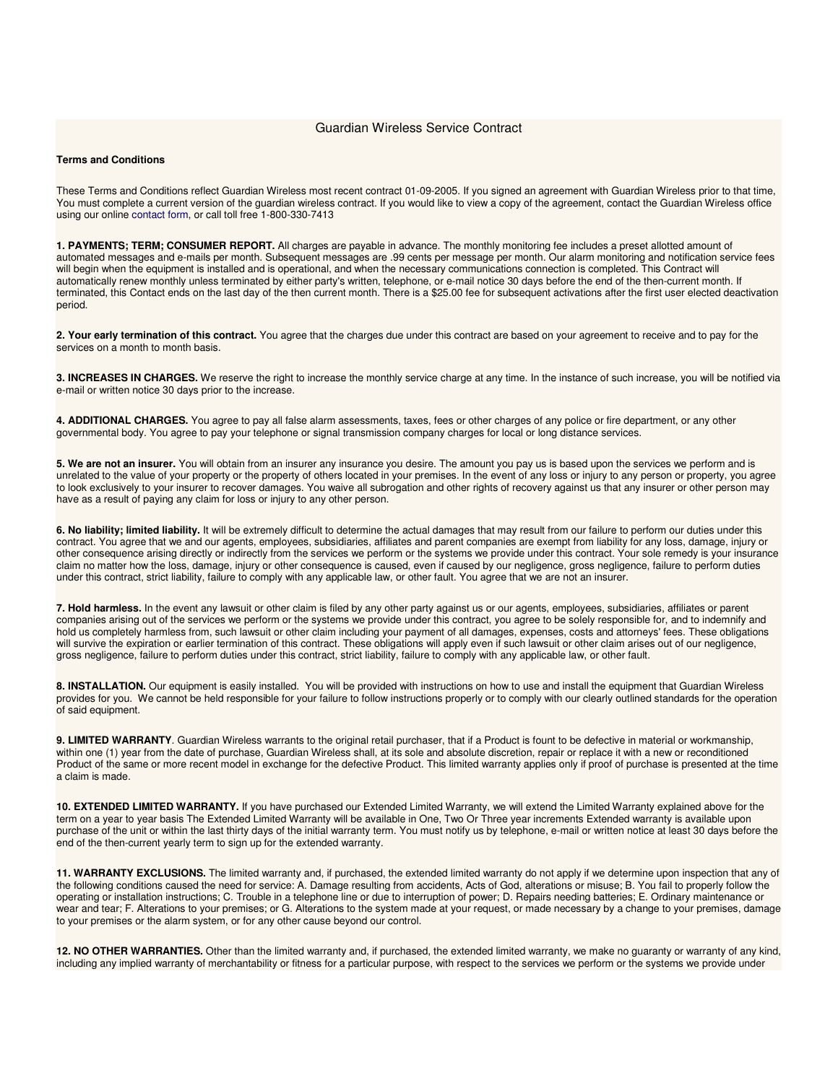## Guardian Wireless Service Contract

## **Terms and Conditions**

These Terms and Conditions reflect Guardian Wireless most recent contract 01-09-2005. If you signed an agreement with Guardian Wireless prior to that time, You must complete a current version of the guardian wireless contract. If you would like to view a copy of the agreement, contact the Guardian Wireless office using our online contact form, or call toll free 1-800-330-7413

**1. PAYMENTS; TERM; CONSUMER REPORT.** All charges are payable in advance. The monthly monitoring fee includes a preset allotted amount of automated messages and e-mails per month. Subsequent messages are .99 cents per message per month. Our alarm monitoring and notification service fees will begin when the equipment is installed and is operational, and when the necessary communications connection is completed. This Contract will automatically renew monthly unless terminated by either party's written, telephone, or e-mail notice 30 days before the end of the then-current month. If terminated, this Contact ends on the last day of the then current month. There is a \$25.00 fee for subsequent activations after the first user elected deactivation period.

**2. Your early termination of this contract.** You agree that the charges due under this contract are based on your agreement to receive and to pay for the services on a month to month basis.

**3. INCREASES IN CHARGES.** We reserve the right to increase the monthly service charge at any time. In the instance of such increase, you will be notified via e-mail or written notice 30 days prior to the increase.

**4. ADDITIONAL CHARGES.** You agree to pay all false alarm assessments, taxes, fees or other charges of any police or fire department, or any other governmental body. You agree to pay your telephone or signal transmission company charges for local or long distance services.

**5. We are not an insurer.** You will obtain from an insurer any insurance you desire. The amount you pay us is based upon the services we perform and is unrelated to the value of your property or the property of others located in your premises. In the event of any loss or injury to any person or property, you agree to look exclusively to your insurer to recover damages. You waive all subrogation and other rights of recovery against us that any insurer or other person may have as a result of paying any claim for loss or injury to any other person.

**6. No liability; limited liability.** It will be extremely difficult to determine the actual damages that may result from our failure to perform our duties under this contract. You agree that we and our agents, employees, subsidiaries, affiliates and parent companies are exempt from liability for any loss, damage, injury or other consequence arising directly or indirectly from the services we perform or the systems we provide under this contract. Your sole remedy is your insurance claim no matter how the loss, damage, injury or other consequence is caused, even if caused by our negligence, gross negligence, failure to perform duties under this contract, strict liability, failure to comply with any applicable law, or other fault. You agree that we are not an insurer.

7. Hold harmless. In the event any lawsuit or other claim is filed by any other party against us or our agents, employees, subsidiaries, affiliates or parent companies arising out of the services we perform or the systems we provide under this contract, you agree to be solely responsible for, and to indemnify and hold us completely harmless from, such lawsuit or other claim including your payment of all damages, expenses, costs and attorneys' fees. These obligations will survive the expiration or earlier termination of this contract. These obligations will apply even if such lawsuit or other claim arises out of our negligence, gross negligence, failure to perform duties under this contract, strict liability, failure to comply with any applicable law, or other fault.

**8. INSTALLATION.** Our equipment is easily installed. You will be provided with instructions on how to use and install the equipment that Guardian Wireless provides for you. We cannot be held responsible for your failure to follow instructions properly or to comply with our clearly outlined standards for the operation of said equipment.

**9. LIMITED WARRANTY**. Guardian Wireless warrants to the original retail purchaser, that if a Product is fount to be defective in material or workmanship, within one (1) year from the date of purchase, Guardian Wireless shall, at its sole and absolute discretion, repair or replace it with a new or reconditioned Product of the same or more recent model in exchange for the defective Product. This limited warranty applies only if proof of purchase is presented at the time a claim is made.

**10. EXTENDED LIMITED WARRANTY.** If you have purchased our Extended Limited Warranty, we will extend the Limited Warranty explained above for the term on a year to year basis The Extended Limited Warranty will be available in One, Two Or Three year increments Extended warranty is available upon purchase of the unit or within the last thirty days of the initial warranty term. You must notify us by telephone, e-mail or written notice at least 30 days before the end of the then-current yearly term to sign up for the extended warranty.

**11. WARRANTY EXCLUSIONS.** The limited warranty and, if purchased, the extended limited warranty do not apply if we determine upon inspection that any of the following conditions caused the need for service: A. Damage resulting from accidents, Acts of God, alterations or misuse; B. You fail to properly follow the operating or installation instructions; C. Trouble in a telephone line or due to interruption of power; D. Repairs needing batteries; E. Ordinary maintenance or wear and tear; F. Alterations to your premises; or G. Alterations to the system made at your request, or made necessary by a change to your premises, damage to your premises or the alarm system, or for any other cause beyond our control.

**12. NO OTHER WARRANTIES.** Other than the limited warranty and, if purchased, the extended limited warranty, we make no guaranty or warranty of any kind, including any implied warranty of merchantability or fitness for a particular purpose, with respect to the services we perform or the systems we provide under